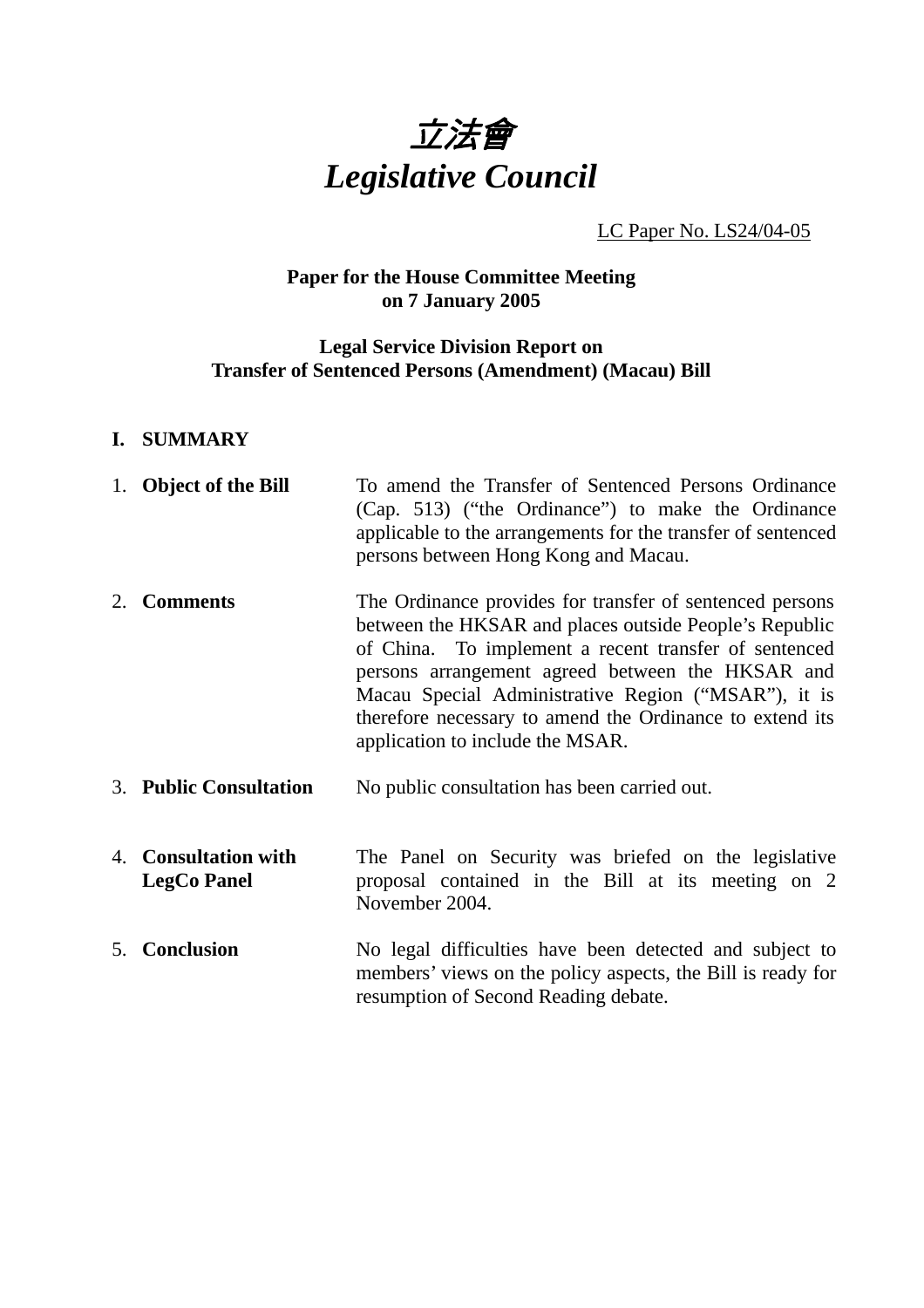

LC Paper No. LS24/04-05

## **Paper for the House Committee Meeting on 7 January 2005**

## **Legal Service Division Report on Transfer of Sentenced Persons (Amendment) (Macau) Bill**

## **I. SUMMARY**

|    | 1. Object of the Bill                      | To amend the Transfer of Sentenced Persons Ordinance<br>(Cap. 513) ("the Ordinance") to make the Ordinance<br>applicable to the arrangements for the transfer of sentenced<br>persons between Hong Kong and Macau.                                                                                                                                                                     |
|----|--------------------------------------------|----------------------------------------------------------------------------------------------------------------------------------------------------------------------------------------------------------------------------------------------------------------------------------------------------------------------------------------------------------------------------------------|
| 2. | <b>Comments</b>                            | The Ordinance provides for transfer of sentenced persons<br>between the HKSAR and places outside People's Republic<br>of China. To implement a recent transfer of sentenced<br>persons arrangement agreed between the HKSAR and<br>Macau Special Administrative Region ("MSAR"), it is<br>therefore necessary to amend the Ordinance to extend its<br>application to include the MSAR. |
|    | <b>3. Public Consultation</b>              | No public consultation has been carried out.                                                                                                                                                                                                                                                                                                                                           |
|    | 4. Consultation with<br><b>LegCo Panel</b> | The Panel on Security was briefed on the legislative<br>proposal contained in the Bill at its meeting on 2<br>November 2004.                                                                                                                                                                                                                                                           |
|    | 5. Conclusion                              | No legal difficulties have been detected and subject to<br>members' views on the policy aspects, the Bill is ready for<br>resumption of Second Reading debate.                                                                                                                                                                                                                         |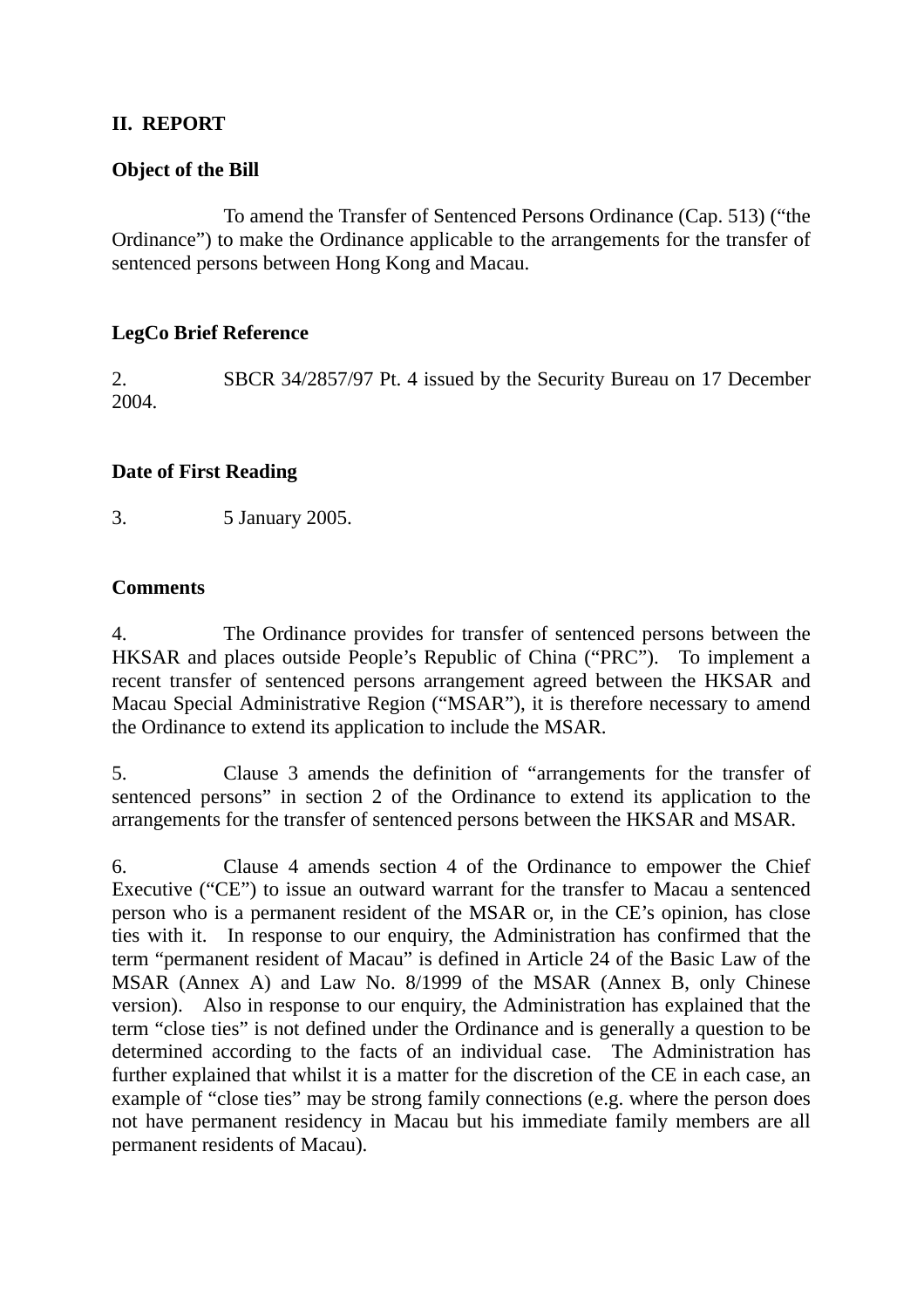## **II. REPORT**

## **Object of the Bill**

To amend the Transfer of Sentenced Persons Ordinance (Cap. 513) ("the Ordinance") to make the Ordinance applicable to the arrangements for the transfer of sentenced persons between Hong Kong and Macau.

## **LegCo Brief Reference**

2. SBCR 34/2857/97 Pt. 4 issued by the Security Bureau on 17 December 2004.

## **Date of First Reading**

3. 5 January 2005.

## **Comments**

4. The Ordinance provides for transfer of sentenced persons between the HKSAR and places outside People's Republic of China ("PRC"). To implement a recent transfer of sentenced persons arrangement agreed between the HKSAR and Macau Special Administrative Region ("MSAR"), it is therefore necessary to amend the Ordinance to extend its application to include the MSAR.

5. Clause 3 amends the definition of "arrangements for the transfer of sentenced persons" in section 2 of the Ordinance to extend its application to the arrangements for the transfer of sentenced persons between the HKSAR and MSAR.

6. Clause 4 amends section 4 of the Ordinance to empower the Chief Executive ("CE") to issue an outward warrant for the transfer to Macau a sentenced person who is a permanent resident of the MSAR or, in the CE's opinion, has close ties with it. In response to our enquiry, the Administration has confirmed that the term "permanent resident of Macau" is defined in Article 24 of the Basic Law of the MSAR (Annex A) and Law No. 8/1999 of the MSAR (Annex B, only Chinese version). Also in response to our enquiry, the Administration has explained that the term "close ties" is not defined under the Ordinance and is generally a question to be determined according to the facts of an individual case. The Administration has further explained that whilst it is a matter for the discretion of the CE in each case, an example of "close ties" may be strong family connections (e.g. where the person does not have permanent residency in Macau but his immediate family members are all permanent residents of Macau).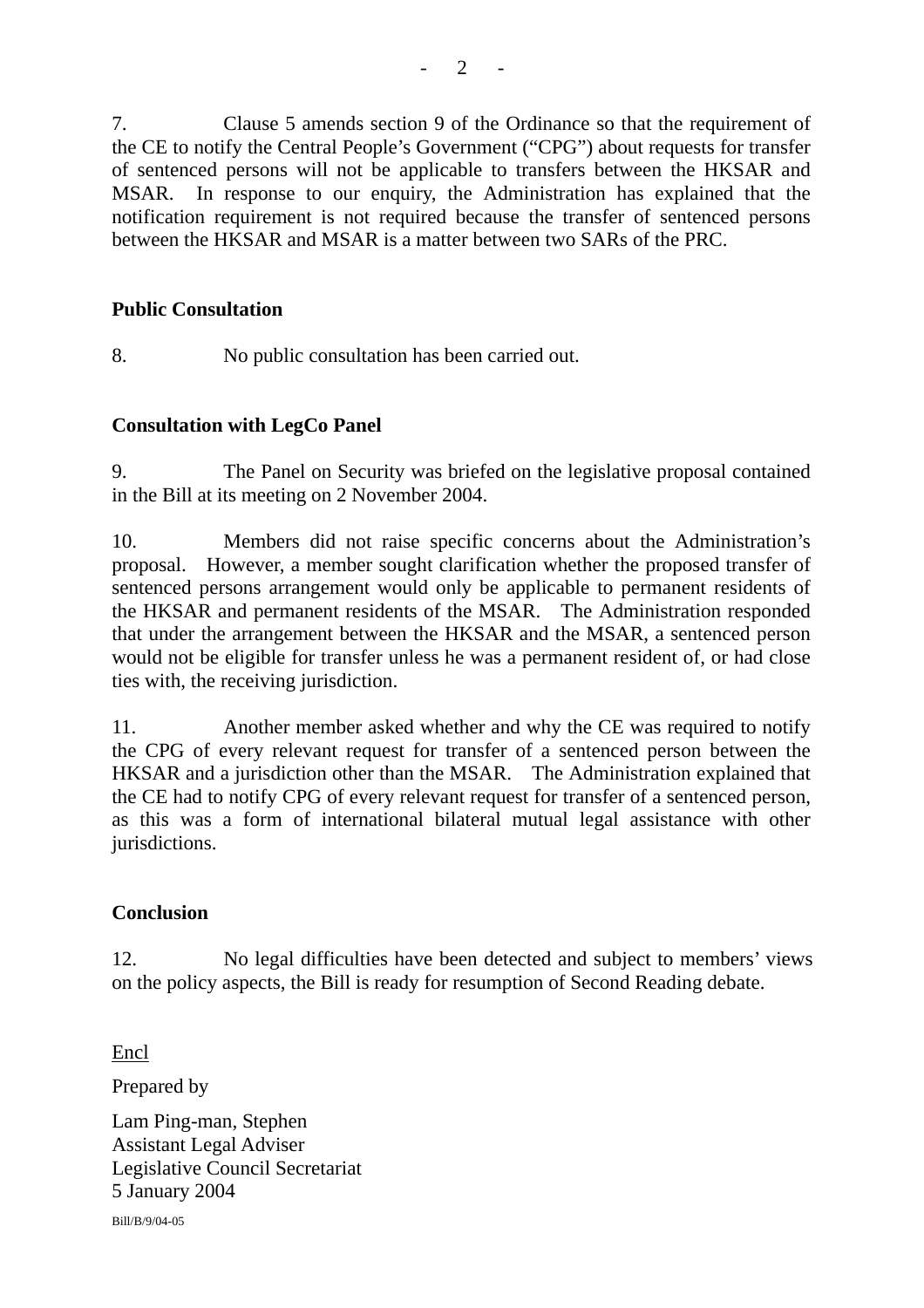7. Clause 5 amends section 9 of the Ordinance so that the requirement of the CE to notify the Central People's Government ("CPG") about requests for transfer of sentenced persons will not be applicable to transfers between the HKSAR and MSAR. In response to our enquiry, the Administration has explained that the notification requirement is not required because the transfer of sentenced persons between the HKSAR and MSAR is a matter between two SARs of the PRC.

## **Public Consultation**

8. No public consultation has been carried out.

## **Consultation with LegCo Panel**

9. The Panel on Security was briefed on the legislative proposal contained in the Bill at its meeting on 2 November 2004.

10. Members did not raise specific concerns about the Administration's proposal. However, a member sought clarification whether the proposed transfer of sentenced persons arrangement would only be applicable to permanent residents of the HKSAR and permanent residents of the MSAR. The Administration responded that under the arrangement between the HKSAR and the MSAR, a sentenced person would not be eligible for transfer unless he was a permanent resident of, or had close ties with, the receiving jurisdiction.

11. Another member asked whether and why the CE was required to notify the CPG of every relevant request for transfer of a sentenced person between the HKSAR and a jurisdiction other than the MSAR. The Administration explained that the CE had to notify CPG of every relevant request for transfer of a sentenced person, as this was a form of international bilateral mutual legal assistance with other jurisdictions.

## **Conclusion**

12. No legal difficulties have been detected and subject to members' views on the policy aspects, the Bill is ready for resumption of Second Reading debate.

Encl

Prepared by

Lam Ping-man, Stephen Assistant Legal Adviser Legislative Council Secretariat 5 January 2004 Bill/B/9/04-05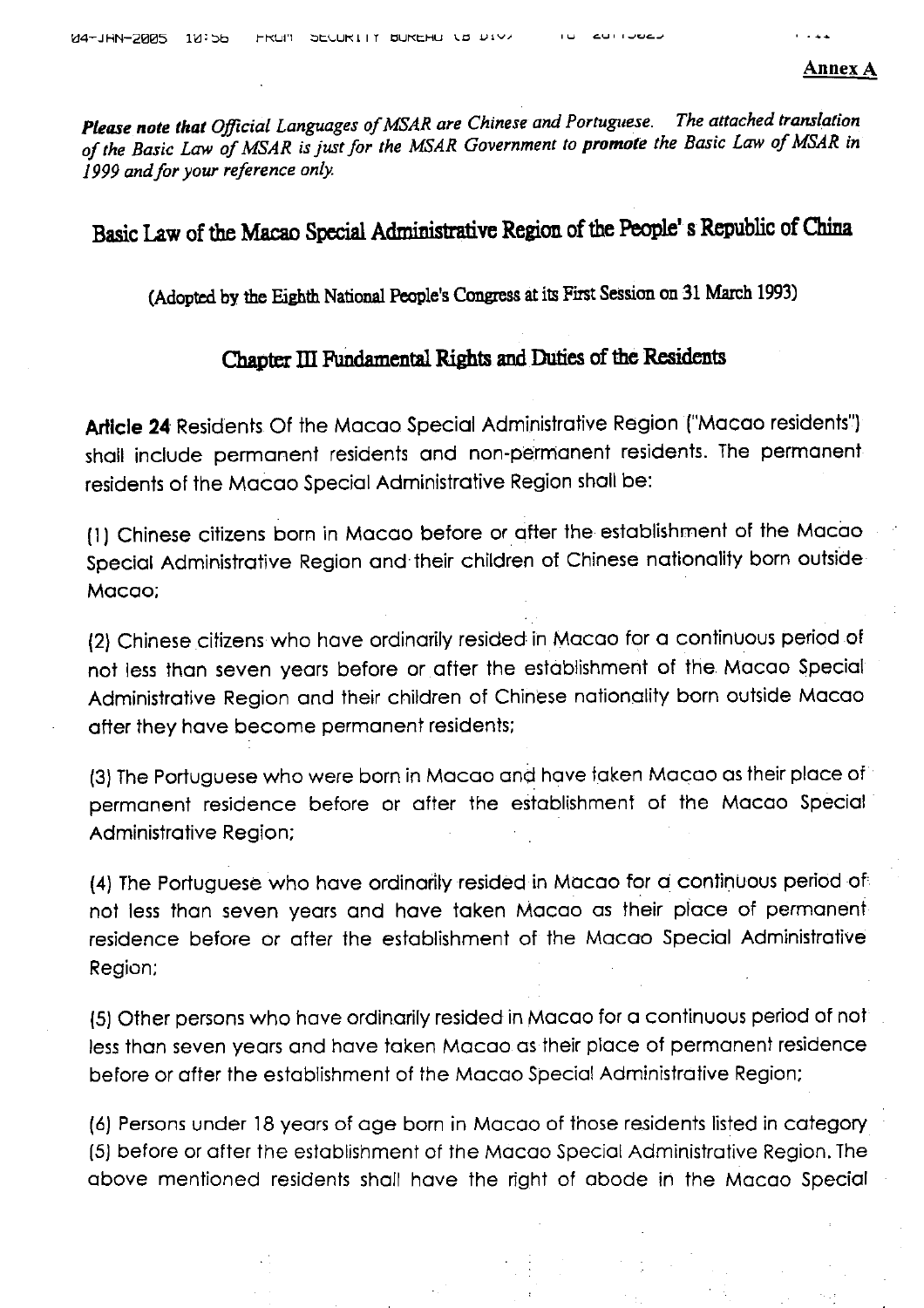Please note that Official Languages of MSAR are Chinese and Portuguese. The attached translation of the Basic Law of MSAR is just for the MSAR Government to promote the Basic Law of MSAR in 1999 and for your reference only.

د عامل المالي عامل ال

# Basic Law of the Macao Special Administrative Region of the People's Republic of China

(Adopted by the Eighth National People's Congress at its First Session on 31 March 1993)

## Chapter III Fundamental Rights and Duties of the Residents

Article 24 Residents Of the Macao Special Administrative Region ("Macao residents") shall include permanent residents and non-permanent residents. The permanent residents of the Macao Special Administrative Region shall be:

(1) Chinese citizens born in Macao before or after the establishment of the Macao Special Administrative Region and their children of Chinese nationality born outside Macao:

(2) Chinese citizens who have ordinarily resided in Macao for a continuous period of not less than seven years before or after the establishment of the Macao Special Administrative Region and their children of Chinese nationality born outside Macao after they have become permanent residents;

(3) The Portuguese who were born in Macao and have taken Macao as their place of permanent residence before or after the establishment of the Macao Special Administrative Region;

(4) The Portuguese who have ordinarily resided in Macao for a continuous period of not less than seven years and have taken Macao as their place of permanent residence before or after the establishment of the Macao Special Administrative Region;

(5) Other persons who have ordinarily resided in Macao for a continuous period of not less than seven years and have taken Macao as their place of permanent residence before or after the establishment of the Macao Special Administrative Region;

(6) Persons under 18 years of age born in Macao of those residents listed in category (5) before or after the establishment of the Macao Special Administrative Region. The above mentioned residents shall have the right of abode in the Macao Special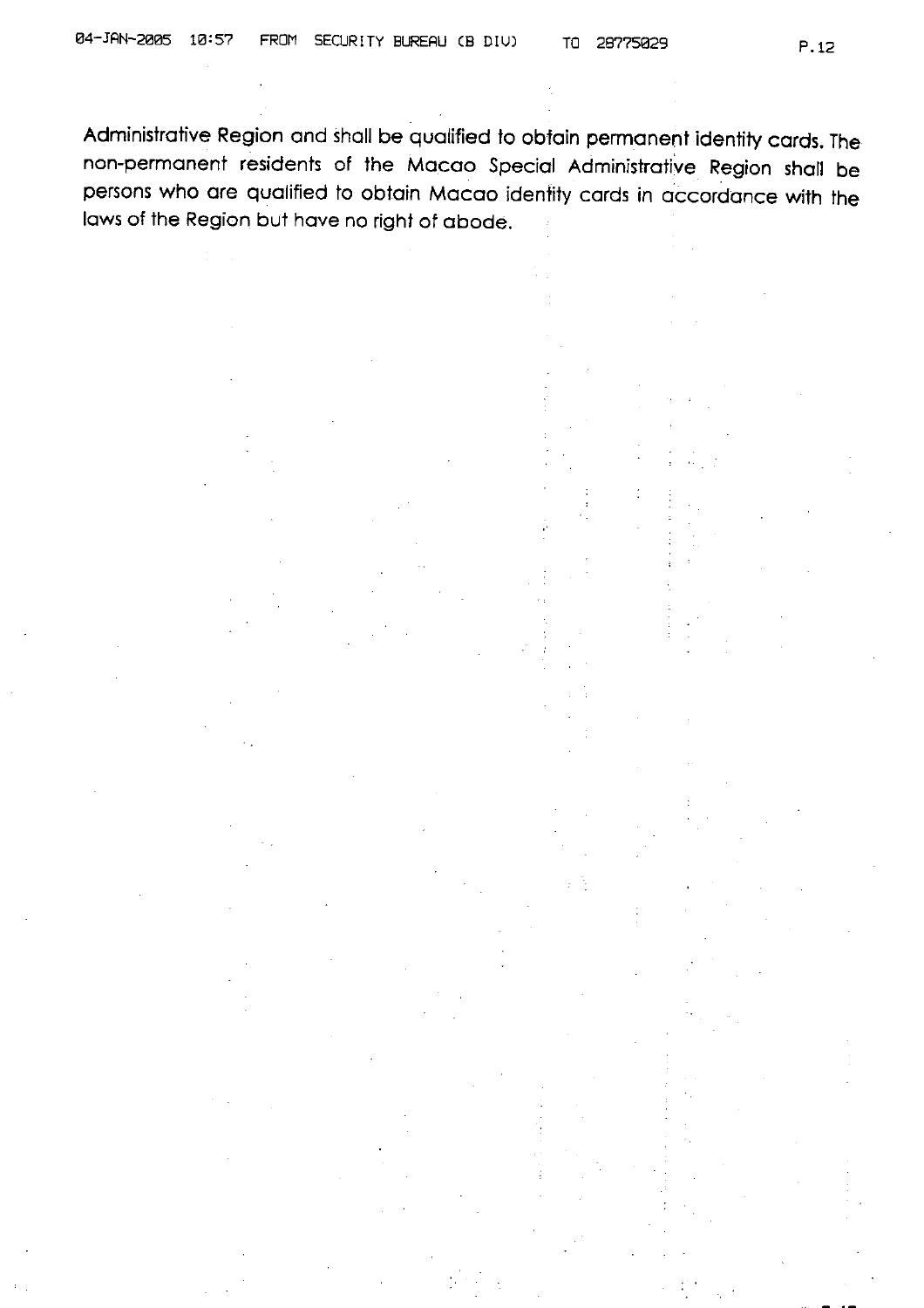Administrative Region and shall be qualified to obtain permanent identity cards. The non-permanent residents of the Macao Special Administrative Region shall be persons who are qualified to obtain Macao identity cards in accordance with the laws of the Region but have no right of abode.

28775029

TO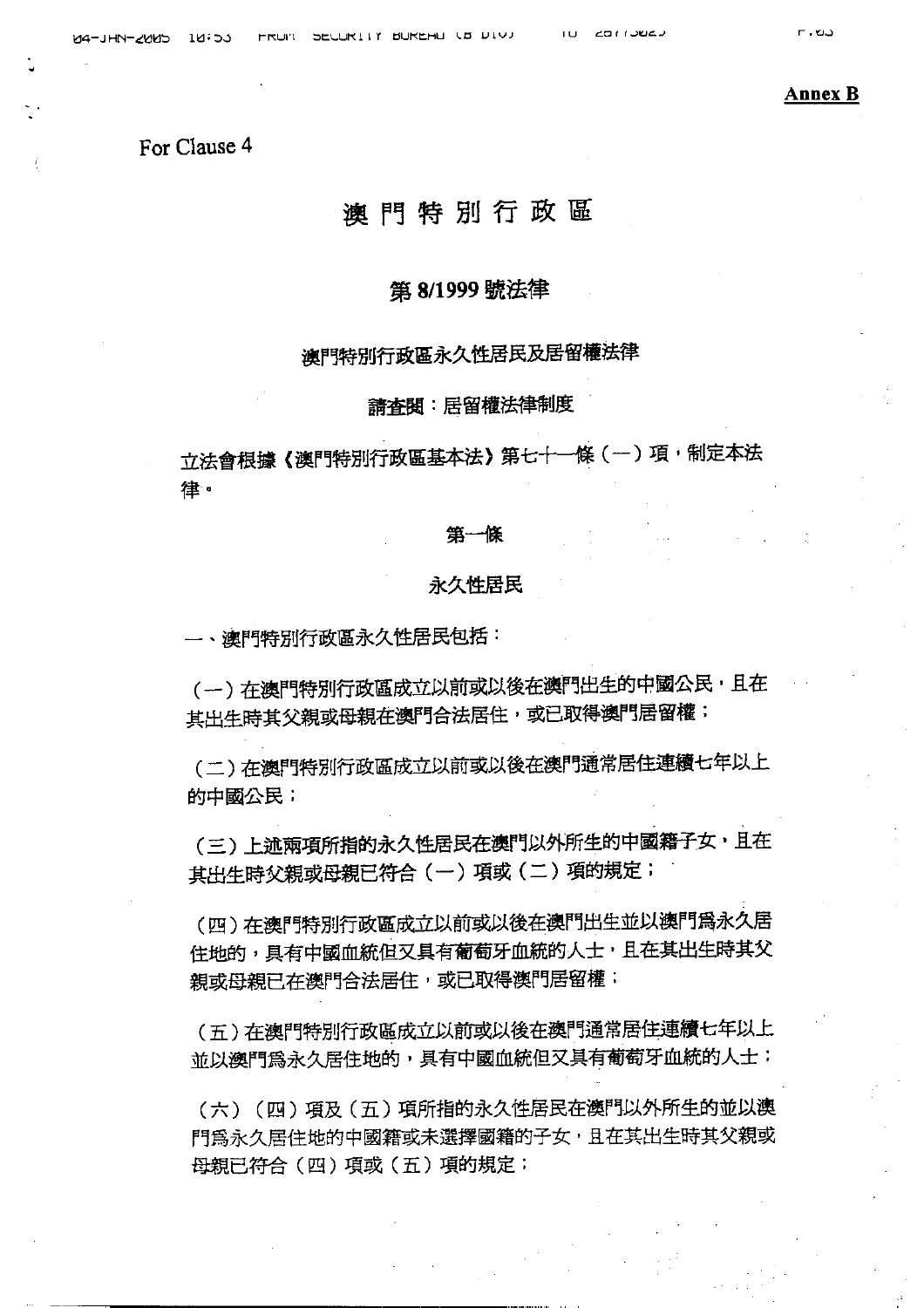**Annex B** 

## For Clause 4

## 澳門特別行政區

#### 第 8/1999 號法律

## 澳門特別行政區永久性居民及居留權法律

#### 請査閱:居留權法律制度

立法會根據《澳門特別行政區基本法》第七十一條(一)項,制定本法 律。

#### 第一條

#### 永久性居民

一、澳門特別行政區永久性居民包括:

(一)在澳門特別行政區成立以前或以後在澳門出生的中國公民,且在 其出生時其父親或母親在澳門合法居住,或已取得澳門居留權;

(二)在澳門特別行政區成立以前或以後在澳門通常居住連續七年以上 的中國公民;

(三)上述兩項所指的永久性居民在澳門以外所生的中國籍子女,且在 其出生時父親或母親已符合 (一) 項或 (二) 項的規定;

(四)在澳門特別行政區成立以前或以後在澳門出生並以澳門爲永久居 住地的,具有中國血統但又具有葡萄牙血統的人士,且在其出生時其父 親或母親已在澳門合法居住,或已取得澳門居留權;

(五)在澳門特別行政區成立以前或以後在澳門通常居住連續七年以上 並以澳門為永久居住地的,具有中國血統但又具有葡萄牙血統的人士;

(六) (四) 項及(五) 項所指的永久性居民在澳門以外所生的並以澳 門為永久居住地的中國籍或未選擇國籍的子女,且在其出生時其父親或 母親已符合(四)項或(五)項的規定;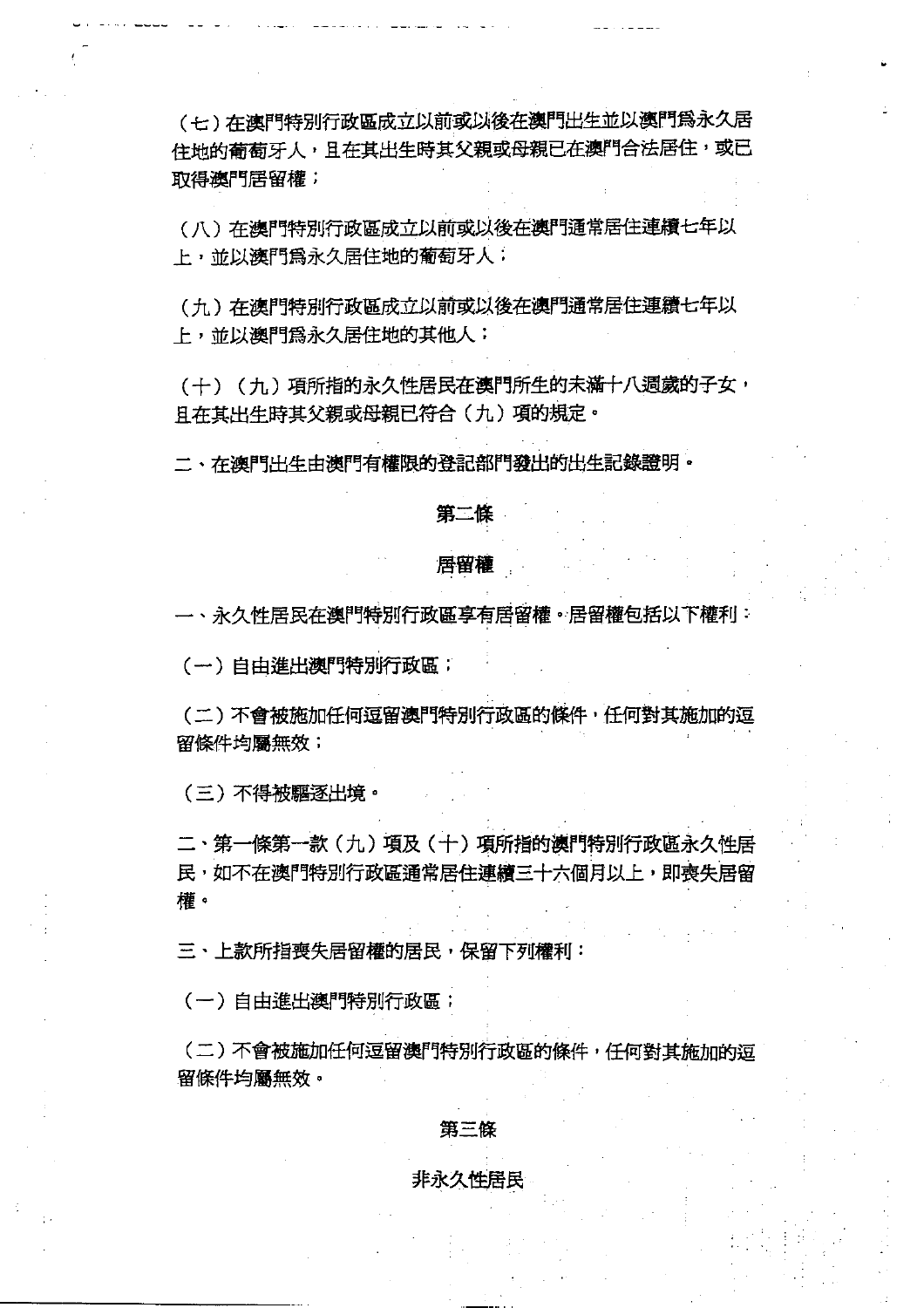(七) 在澳門特別行政區成立以前或以後在澳門出生並以澳門爲永久居 住地的葡萄牙人,且在其出生時其父親或母親已在澳門合法居住,或已 取得澳門居留權;

(八)在澳門特別行政區成立以前或以後在澳門通常居住連續七年以 上,並以澳門為永久居住地的葡萄牙人;

(九)在澳門特別行政區成立以前或以後在澳門通常居住連續七年以 上, 並以澳門為永久居住地的其他人;

(+) (力) 項所指的永久性居民在澳門所生的未滿十八週歲的子女, 日在其出生時其父親或母親已符合(九)項的規定。

二、在澳門出生由澳門有權限的登記部門發出的出生記錄證明。

#### 第二條

#### 居留權

一、永久性居民在澳門特別行政區享有居留權。居留權包括以下權利:

(一)自由進出澳門特別行政區;

(二)不會被施加任何逗留澳門特別行政區的條件,任何對其施加的逗 留條件均屬無效;

(三) 不得被驅逐出境。

二、第一條第一款(九)項及(十)項所指的澳門特別行政區永久性居 民,如不在澳門特別行政區通常居住連續三十六個月以上,即喪失居留 權。

三、上款所指喪失居留權的居民, 保留下列權利:

(一)自由進出澳門特別行政區;

(二)不會被施加任何逗留澳門特別行政區的條件,任何對其施加的逗 留條件均屬無效。

#### 第三條

#### 非永久性居民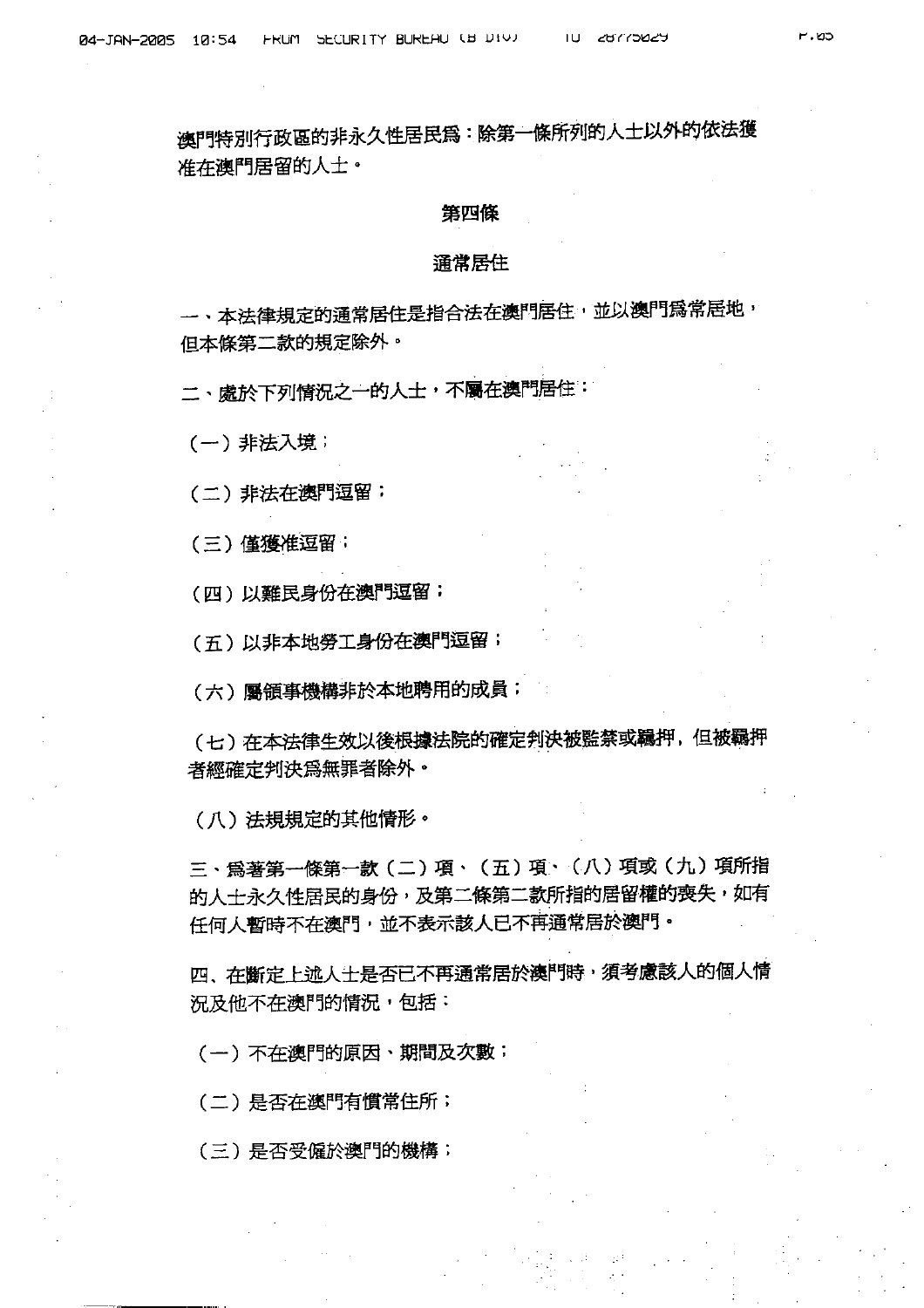澳門特別行政區的非永久性居民為:除第一條所列的人士以外的依法獲 准在澳門居留的人士。

#### 第四條

#### 涌常居住

一、本法律規定的通常居住是指合法在澳門居住,並以澳門爲常居地, 但本條第二款的規定除外。

二、處於下列情況之一的人士,不屬在澳門居住:

(一) 非法入境;

(二) 非法在澳門逗留;

(三) 僅獲准逗留;

(四)以難民身份在澳門逗留;

(五)以非本地勞工身份在澳門逗留;

(六) 屬領事機構非於本地聘用的成員;

(七)在本法律生效以後根據法院的確定判決被監禁或羈押,但被羈押 者經確定判決為無罪者除外。

(八)法規規定的其他情形。

三、爲著第一條第一款 (二) 項、 (五) 項、 (八) 項或 (九) 項所指 的人士永久性居民的身份,及第二條第二款所指的居留權的喪失,如有 任何人暫時不在澳門,並不表示該人已不再通常居於澳門。

四、在斷定上述人士是否已不再通常居於澳門時,須考慮該人的個人情 況及他不在澳門的情況,包括:

(一)不在澳門的原因、期間及次數;

(二)是否在澳門有慣常住所;

(三)是否受僱於澳門的機構;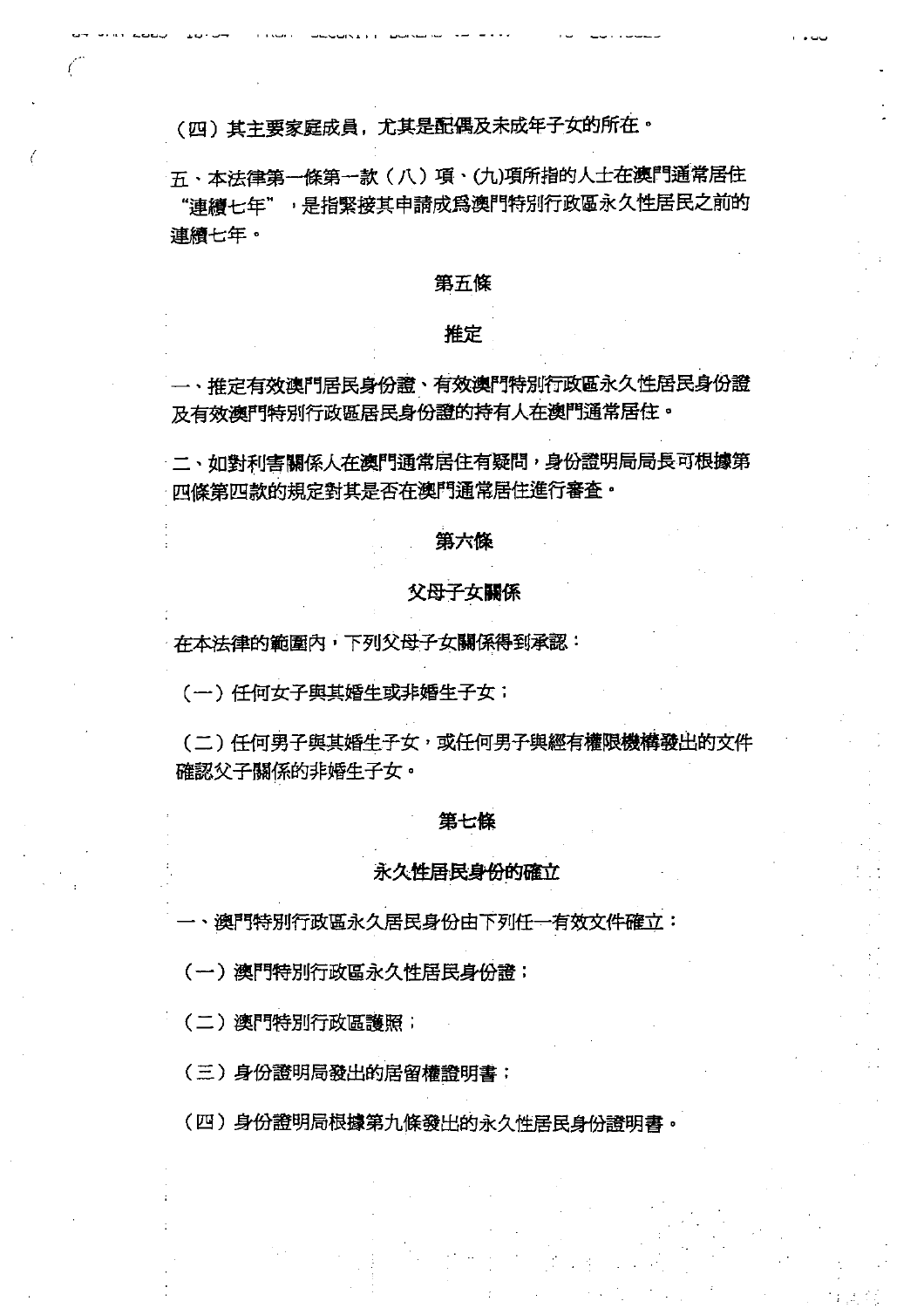(四)其主要家庭成員,尤其是配偶及未成年子女的所在。

五、本法律第一條第一款(八)項、(九)項所指的人士在澳門通常居住 "連續七年",是指緊接其申請成為澳門特別行政區永久性居民之前的 連續七年。

## 第五條

## 推定

一、推定有效澳門居民身份證、有效澳門特別行政區永久性居民身份證 及有效澳門特別行政區居民身份證的持有人在澳門通常居住。

二、如對利害關係人在澳門通常居住有疑問,身份證明局局長可根據第 四條第四款的規定對其是否在澳門通常居住進行審査。

#### 第六條

## 父母子女關係

在本法律的範圍內,下列父母子女關係得到承認:

(一) 仟何女子與其婚生或非婚生子女;

(二)任何男子與其婚生子女,或任何男子與經有權限機構發出的文件 確認父子關係的非婚生子女。

#### 第七條

#### 永久性居民身份的確立

、澳門特別行政區永久居民身份由下列任一有效文件確立:

(一)澳門特別行政區永久性居民身份證;

(二)澳門特別行政區護照;

(三)身份證明局發出的居留權證明書;

(四)身份證明局根據第九條發出的永久性居民身份證明書。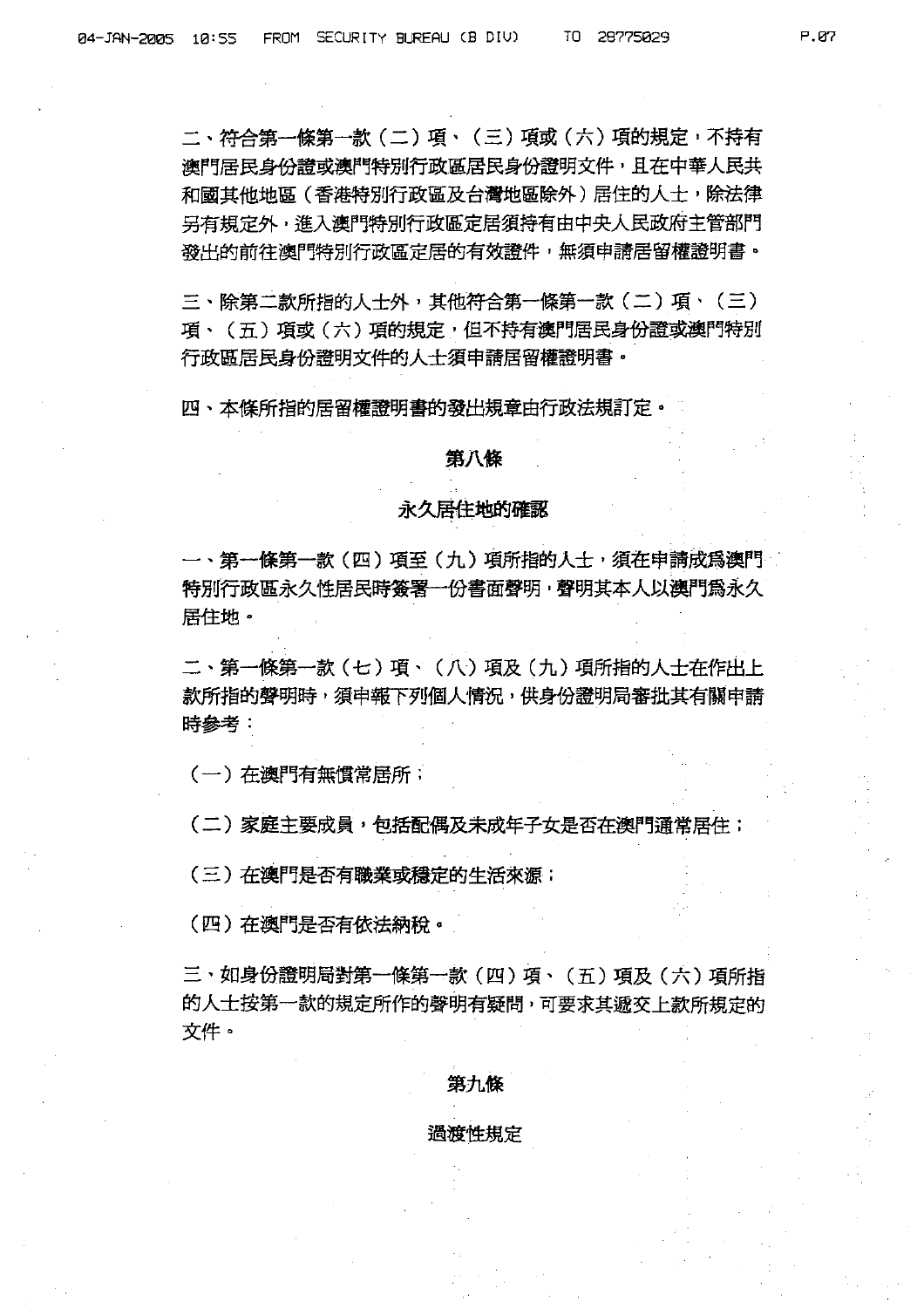二、符合第一條第一款 (二) 項、 (三) 項或 (六) 項的規定,不持有 **澳門居民身份證或澳門特別行政區居民身份證明文件,且在中華人民共** 和國其他地區(香港特別行政區及台灣地區除外)居住的人士,除法律 另有規定外,進入澳門特別行政區定居須持有由中央人民政府主管部門 發出的前往澳門特別行政區定居的有效證件,無須申請居留權證明書。

三、除第二款所指的人士外,其他符合第一條第一款 (二) 項、 (三) 項、(五)項或(六)項的規定,但不持有澳門居民身份證或澳門特別 行政區居民身份證明文件的人士須申請居留權證明書。

四、本條所指的居留權證明書的發出規章由行政法規訂定。

#### 第八條

#### 永久居住地的確認

一、第一條第一款(四)項至(九)項所指的人士,須在申請成爲澳門 特別行政區永久性居民時簽署一份書面聲明,聲明其本人以澳門為永久 居住地。

二、第一條第一款(七)項、(八)項及(九)項所指的人士在作出上 款所指的聲明時,須申報下列個人情況,供身份證明局審批其有關申請 時參考:

(一) 在澳門有無慣常居所;

(二)家庭主要成員,包括配偶及未成年子女是否在澳門涌常居住;

(三)在澳門是否有職業或穩定的生活來源:

(四)在澳門是否有依法納稅。

三、如身份證明局對第一條第一款 (四) 項、 (五) 項及 (六) 項所指 的人士按第一款的規定所作的聲明有疑問,可要求其遞交上款所規定的 文件。

#### 第九條

#### 渦渡性規定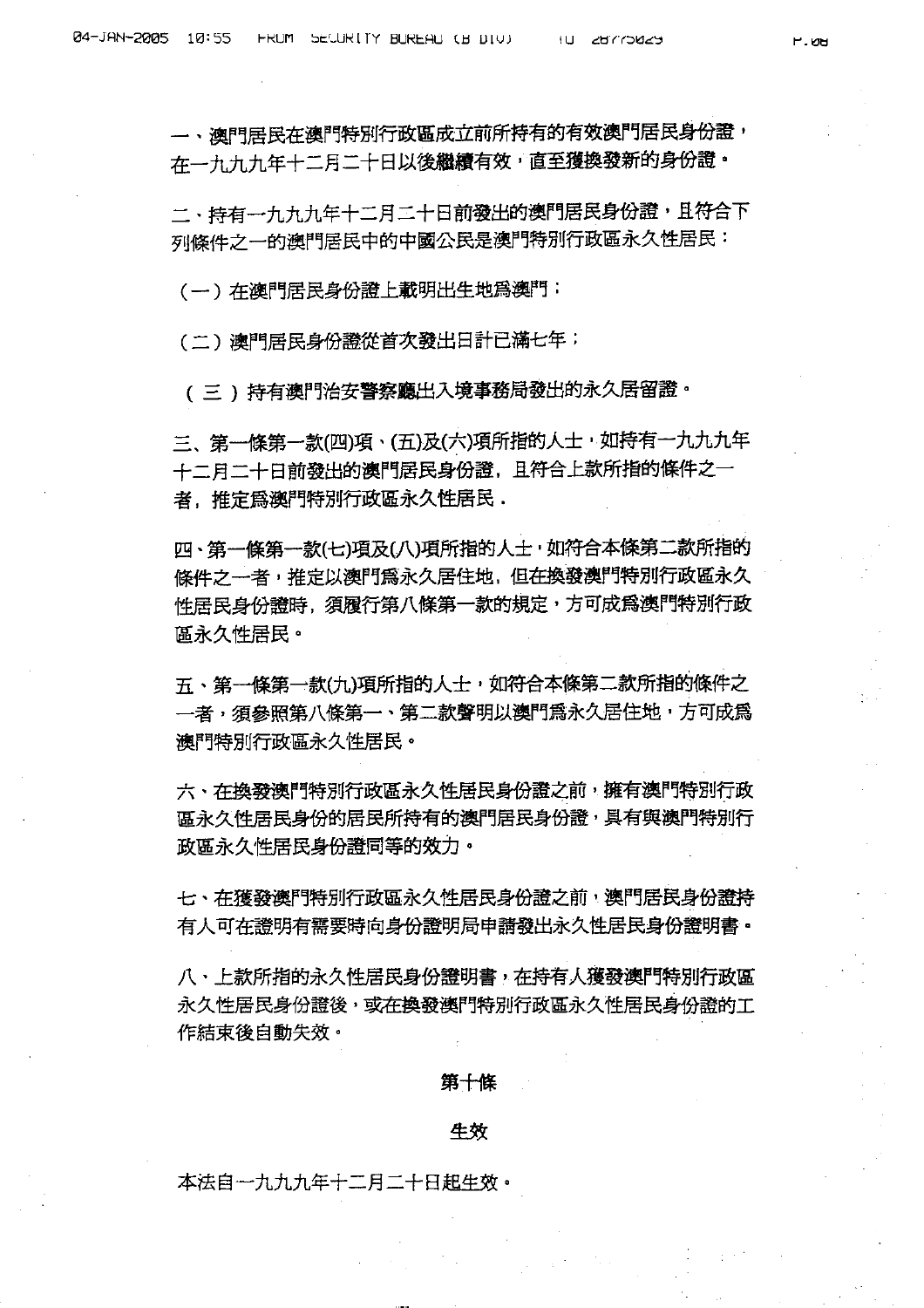一、澳門居民在澳門特別行政區成立前所持有的有效澳門居民身份證, 在一九九九年十二月二十日以後繼續有效,直至獲換發新的身份證。

二、持有一九九九年十二月二十日前發出的澳門居民身份證,且符合下 列條件之一的澳門居民中的中國公民是澳門特別行政區永久性居民:

(一)在澳門居民身份證上載明出生地爲澳門;

(二)澳門居民身份證從首次發出日計已滿七年;

( 三 ) 持有澳門治安警察廳出入境事務局發出的永久居留證。

三、第一條第一款(四)項、(五)及(六)項所指的人士,如持有一九九九年 十二月二十日前發出的澳門居民身份證,且符合上款所指的條件之一 者, 推定為澳門特別行政區永久性居民,

四、第一條第一款(七)項及(八)項所指的人士,如符合本條第二款所指的 條件之一者,推定以澳門為永久居住地,但在換發澳門特別行政區永久 性居民身份證時、須履行第八條第一款的規定,方可成爲澳門特別行政 區永久性居民。

五、第一條第一款(九)項所指的人士,如符合本條第二款所指的條件之 一者,須參照第八條第一、第二款聲明以澳門爲永久居住地,方可成爲 澳門特別行政區永久性居民。

六、在換發澳門特別行政區永久性居民身份證之前,擁有澳門特別行政 區永久性居民身份的居民所持有的澳門居民身份證,具有與澳門特別行 政區永久性居民身份讚同等的效力。

七、在獲發遼門特別行政區永久性居民身份證之前,澳門居民身份證特 有人可在證明有需要時向身份證明局申請發出永久性居民身份證明書。

八、上款所指的永久性居民身份證明書,在持有人獲發澳門特別行政區 永久性居民身份證後,或在換發澳門特別行政區永久性居民身份證的工 作結束後白動失效。

#### 第十條

#### 牛效

本法自一九九九年十二月二十日起生效。